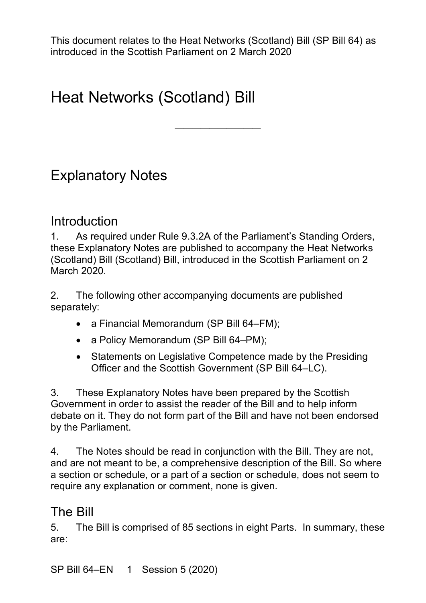# Heat Networks (Scotland) Bill

————————————————————

## Explanatory Notes

### Introduction

1. As required under Rule 9.3.2A of the Parliament's Standing Orders, these Explanatory Notes are published to accompany the Heat Networks (Scotland) Bill (Scotland) Bill, introduced in the Scottish Parliament on 2 March 2020.

2. The following other accompanying documents are published separately:

- a Financial Memorandum (SP Bill 64–FM);
- a Policy Memorandum (SP Bill 64–PM);
- Statements on Legislative Competence made by the Presiding Officer and the Scottish Government (SP Bill 64–LC).

3. These Explanatory Notes have been prepared by the Scottish Government in order to assist the reader of the Bill and to help inform debate on it. They do not form part of the Bill and have not been endorsed by the Parliament.

4. The Notes should be read in conjunction with the Bill. They are not, and are not meant to be, a comprehensive description of the Bill. So where a section or schedule, or a part of a section or schedule, does not seem to require any explanation or comment, none is given.

## The Bill

5. The Bill is comprised of 85 sections in eight Parts. In summary, these are: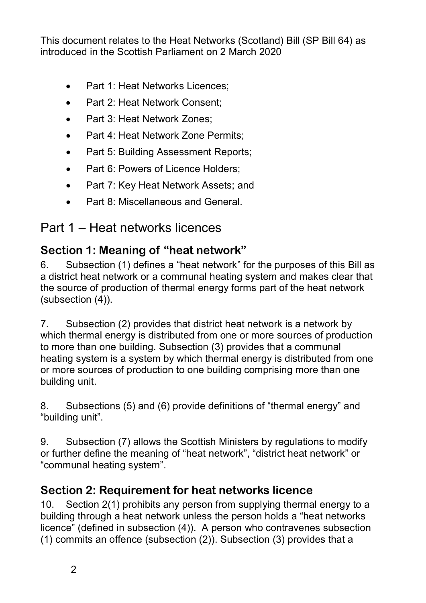- Part 1: Heat Networks Licences;
- Part 2: Heat Network Consent;
- Part 3: Heat Network Zones;
- Part 4: Heat Network Zone Permits;
- Part 5: Building Assessment Reports;
- Part 6: Powers of Licence Holders:
- Part 7: Key Heat Network Assets; and
- Part 8: Miscellaneous and General.

## Part 1 – Heat networks licences

## **Section 1: Meaning of "heat network"**

6. Subsection (1) defines a "heat network" for the purposes of this Bill as a district heat network or a communal heating system and makes clear that the source of production of thermal energy forms part of the heat network (subsection (4)).

7. Subsection (2) provides that district heat network is a network by which thermal energy is distributed from one or more sources of production to more than one building. Subsection (3) provides that a communal heating system is a system by which thermal energy is distributed from one or more sources of production to one building comprising more than one building unit.

8. Subsections (5) and (6) provide definitions of "thermal energy" and "building unit".

9. Subsection (7) allows the Scottish Ministers by regulations to modify or further define the meaning of "heat network", "district heat network" or "communal heating system".

### **Section 2: Requirement for heat networks licence**

10. Section 2(1) prohibits any person from supplying thermal energy to a building through a heat network unless the person holds a "heat networks licence" (defined in subsection (4)). A person who contravenes subsection (1) commits an offence (subsection (2)). Subsection (3) provides that a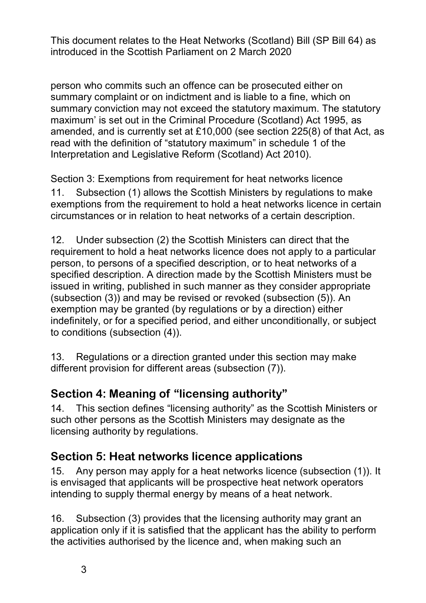person who commits such an offence can be prosecuted either on summary complaint or on indictment and is liable to a fine, which on summary conviction may not exceed the statutory maximum. The statutory maximum' is set out in the Criminal Procedure (Scotland) Act 1995, as amended, and is currently set at £10,000 (see section 225(8) of that Act, as read with the definition of "statutory maximum" in schedule 1 of the Interpretation and Legislative Reform (Scotland) Act 2010).

Section 3: Exemptions from requirement for heat networks licence 11. Subsection (1) allows the Scottish Ministers by regulations to make exemptions from the requirement to hold a heat networks licence in certain circumstances or in relation to heat networks of a certain description.

12. Under subsection (2) the Scottish Ministers can direct that the requirement to hold a heat networks licence does not apply to a particular person, to persons of a specified description, or to heat networks of a specified description. A direction made by the Scottish Ministers must be issued in writing, published in such manner as they consider appropriate (subsection (3)) and may be revised or revoked (subsection (5)). An exemption may be granted (by regulations or by a direction) either indefinitely, or for a specified period, and either unconditionally, or subject to conditions (subsection (4)).

13. Regulations or a direction granted under this section may make different provision for different areas (subsection (7)).

### **Section 4: Meaning of "licensing authority"**

14. This section defines "licensing authority" as the Scottish Ministers or such other persons as the Scottish Ministers may designate as the licensing authority by regulations.

### **Section 5: Heat networks licence applications**

15. Any person may apply for a heat networks licence (subsection (1)). It is envisaged that applicants will be prospective heat network operators intending to supply thermal energy by means of a heat network.

16. Subsection (3) provides that the licensing authority may grant an application only if it is satisfied that the applicant has the ability to perform the activities authorised by the licence and, when making such an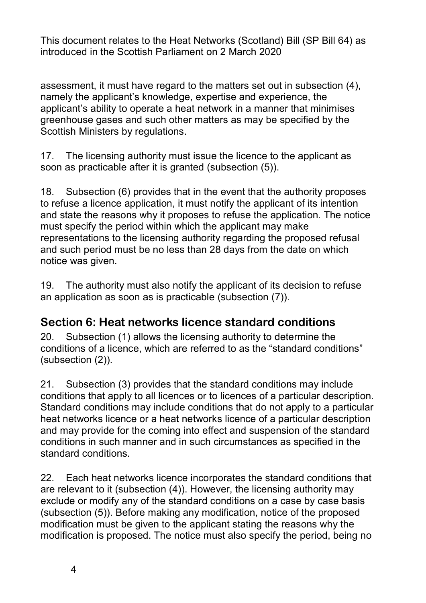assessment, it must have regard to the matters set out in subsection (4), namely the applicant's knowledge, expertise and experience, the applicant's ability to operate a heat network in a manner that minimises greenhouse gases and such other matters as may be specified by the Scottish Ministers by regulations.

17. The licensing authority must issue the licence to the applicant as soon as practicable after it is granted (subsection (5)).

18. Subsection (6) provides that in the event that the authority proposes to refuse a licence application, it must notify the applicant of its intention and state the reasons why it proposes to refuse the application. The notice must specify the period within which the applicant may make representations to the licensing authority regarding the proposed refusal and such period must be no less than 28 days from the date on which notice was given.

19. The authority must also notify the applicant of its decision to refuse an application as soon as is practicable (subsection (7)).

#### **Section 6: Heat networks licence standard conditions**

20. Subsection (1) allows the licensing authority to determine the conditions of a licence, which are referred to as the "standard conditions" (subsection (2)).

21. Subsection (3) provides that the standard conditions may include conditions that apply to all licences or to licences of a particular description. Standard conditions may include conditions that do not apply to a particular heat networks licence or a heat networks licence of a particular description and may provide for the coming into effect and suspension of the standard conditions in such manner and in such circumstances as specified in the standard conditions.

22. Each heat networks licence incorporates the standard conditions that are relevant to it (subsection (4)). However, the licensing authority may exclude or modify any of the standard conditions on a case by case basis (subsection (5)). Before making any modification, notice of the proposed modification must be given to the applicant stating the reasons why the modification is proposed. The notice must also specify the period, being no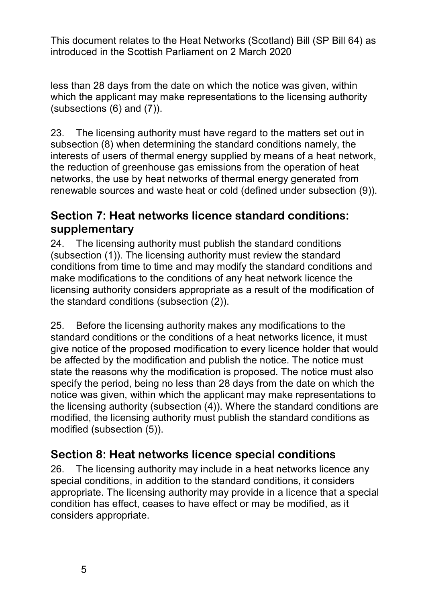less than 28 days from the date on which the notice was given, within which the applicant may make representations to the licensing authority (subsections  $(6)$  and  $(7)$ ).

23. The licensing authority must have regard to the matters set out in subsection (8) when determining the standard conditions namely, the interests of users of thermal energy supplied by means of a heat network, the reduction of greenhouse gas emissions from the operation of heat networks, the use by heat networks of thermal energy generated from renewable sources and waste heat or cold (defined under subsection (9)).

#### **Section 7: Heat networks licence standard conditions: supplementary**

24. The licensing authority must publish the standard conditions (subsection (1)). The licensing authority must review the standard conditions from time to time and may modify the standard conditions and make modifications to the conditions of any heat network licence the licensing authority considers appropriate as a result of the modification of the standard conditions (subsection (2)).

25. Before the licensing authority makes any modifications to the standard conditions or the conditions of a heat networks licence, it must give notice of the proposed modification to every licence holder that would be affected by the modification and publish the notice. The notice must state the reasons why the modification is proposed. The notice must also specify the period, being no less than 28 days from the date on which the notice was given, within which the applicant may make representations to the licensing authority (subsection (4)). Where the standard conditions are modified, the licensing authority must publish the standard conditions as modified (subsection (5)).

#### **Section 8: Heat networks licence special conditions**

26. The licensing authority may include in a heat networks licence any special conditions, in addition to the standard conditions, it considers appropriate. The licensing authority may provide in a licence that a special condition has effect, ceases to have effect or may be modified, as it considers appropriate.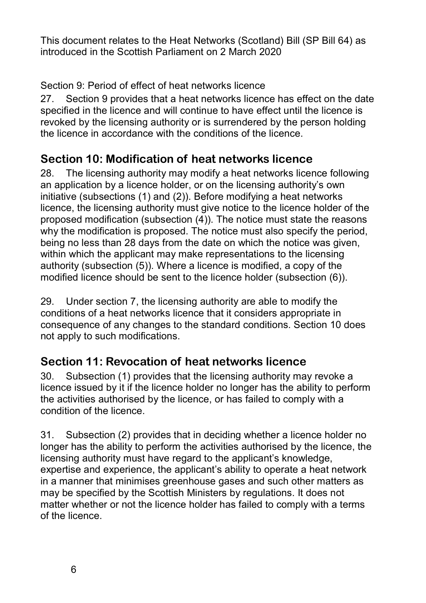Section 9: Period of effect of heat networks licence

27. Section 9 provides that a heat networks licence has effect on the date specified in the licence and will continue to have effect until the licence is revoked by the licensing authority or is surrendered by the person holding the licence in accordance with the conditions of the licence.

#### **Section 10: Modification of heat networks licence**

28. The licensing authority may modify a heat networks licence following an application by a licence holder, or on the licensing authority's own initiative (subsections (1) and (2)). Before modifying a heat networks licence, the licensing authority must give notice to the licence holder of the proposed modification (subsection (4)). The notice must state the reasons why the modification is proposed. The notice must also specify the period, being no less than 28 days from the date on which the notice was given, within which the applicant may make representations to the licensing authority (subsection (5)). Where a licence is modified, a copy of the modified licence should be sent to the licence holder (subsection (6)).

29. Under section 7, the licensing authority are able to modify the conditions of a heat networks licence that it considers appropriate in consequence of any changes to the standard conditions. Section 10 does not apply to such modifications.

### **Section 11: Revocation of heat networks licence**

30. Subsection (1) provides that the licensing authority may revoke a licence issued by it if the licence holder no longer has the ability to perform the activities authorised by the licence, or has failed to comply with a condition of the licence.

31. Subsection (2) provides that in deciding whether a licence holder no longer has the ability to perform the activities authorised by the licence, the licensing authority must have regard to the applicant's knowledge, expertise and experience, the applicant's ability to operate a heat network in a manner that minimises greenhouse gases and such other matters as may be specified by the Scottish Ministers by regulations. It does not matter whether or not the licence holder has failed to comply with a terms of the licence.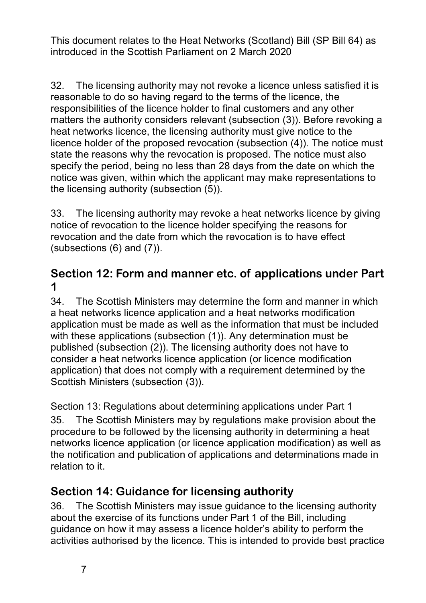32. The licensing authority may not revoke a licence unless satisfied it is reasonable to do so having regard to the terms of the licence, the responsibilities of the licence holder to final customers and any other matters the authority considers relevant (subsection (3)). Before revoking a heat networks licence, the licensing authority must give notice to the licence holder of the proposed revocation (subsection (4)). The notice must state the reasons why the revocation is proposed. The notice must also specify the period, being no less than 28 days from the date on which the notice was given, within which the applicant may make representations to the licensing authority (subsection (5)).

33. The licensing authority may revoke a heat networks licence by giving notice of revocation to the licence holder specifying the reasons for revocation and the date from which the revocation is to have effect (subsections (6) and (7)).

#### **Section 12: Form and manner etc. of applications under Part 1**

34. The Scottish Ministers may determine the form and manner in which a heat networks licence application and a heat networks modification application must be made as well as the information that must be included with these applications (subsection (1)). Any determination must be published (subsection (2)). The licensing authority does not have to consider a heat networks licence application (or licence modification application) that does not comply with a requirement determined by the Scottish Ministers (subsection (3)).

Section 13: Regulations about determining applications under Part 1 35. The Scottish Ministers may by regulations make provision about the procedure to be followed by the licensing authority in determining a heat networks licence application (or licence application modification) as well as the notification and publication of applications and determinations made in relation to it.

### **Section 14: Guidance for licensing authority**

36. The Scottish Ministers may issue guidance to the licensing authority about the exercise of its functions under Part 1 of the Bill, including guidance on how it may assess a licence holder's ability to perform the activities authorised by the licence. This is intended to provide best practice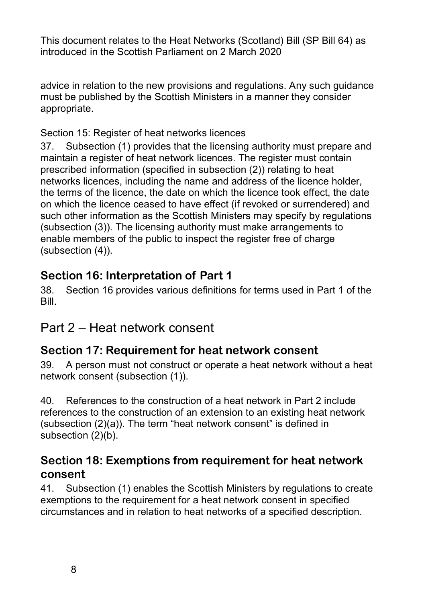advice in relation to the new provisions and regulations. Any such guidance must be published by the Scottish Ministers in a manner they consider appropriate.

#### Section 15: Register of heat networks licences

37. Subsection (1) provides that the licensing authority must prepare and maintain a register of heat network licences. The register must contain prescribed information (specified in subsection (2)) relating to heat networks licences, including the name and address of the licence holder, the terms of the licence, the date on which the licence took effect, the date on which the licence ceased to have effect (if revoked or surrendered) and such other information as the Scottish Ministers may specify by regulations (subsection (3)). The licensing authority must make arrangements to enable members of the public to inspect the register free of charge (subsection (4)).

### **Section 16: Interpretation of Part 1**

38. Section 16 provides various definitions for terms used in Part 1 of the Bill.

### Part 2 – Heat network consent

#### **Section 17: Requirement for heat network consent**

39. A person must not construct or operate a heat network without a heat network consent (subsection (1)).

40. References to the construction of a heat network in Part 2 include references to the construction of an extension to an existing heat network (subsection (2)(a)). The term "heat network consent" is defined in subsection (2)(b).

#### **Section 18: Exemptions from requirement for heat network consent**

41. Subsection (1) enables the Scottish Ministers by regulations to create exemptions to the requirement for a heat network consent in specified circumstances and in relation to heat networks of a specified description.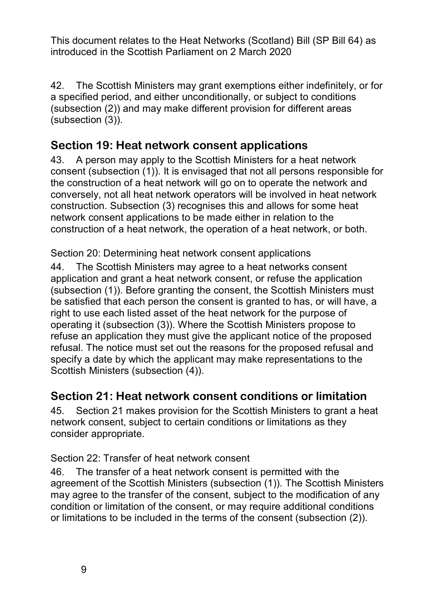42. The Scottish Ministers may grant exemptions either indefinitely, or for a specified period, and either unconditionally, or subject to conditions (subsection (2)) and may make different provision for different areas (subsection (3)).

#### **Section 19: Heat network consent applications**

43. A person may apply to the Scottish Ministers for a heat network consent (subsection (1)). It is envisaged that not all persons responsible for the construction of a heat network will go on to operate the network and conversely, not all heat network operators will be involved in heat network construction. Subsection (3) recognises this and allows for some heat network consent applications to be made either in relation to the construction of a heat network, the operation of a heat network, or both.

Section 20: Determining heat network consent applications

44. The Scottish Ministers may agree to a heat networks consent application and grant a heat network consent, or refuse the application (subsection (1)). Before granting the consent, the Scottish Ministers must be satisfied that each person the consent is granted to has, or will have, a right to use each listed asset of the heat network for the purpose of operating it (subsection (3)). Where the Scottish Ministers propose to refuse an application they must give the applicant notice of the proposed refusal. The notice must set out the reasons for the proposed refusal and specify a date by which the applicant may make representations to the Scottish Ministers (subsection (4)).

### **Section 21: Heat network consent conditions or limitation**

45. Section 21 makes provision for the Scottish Ministers to grant a heat network consent, subject to certain conditions or limitations as they consider appropriate.

Section 22: Transfer of heat network consent

46. The transfer of a heat network consent is permitted with the agreement of the Scottish Ministers (subsection (1)). The Scottish Ministers may agree to the transfer of the consent, subject to the modification of any condition or limitation of the consent, or may require additional conditions or limitations to be included in the terms of the consent (subsection (2)).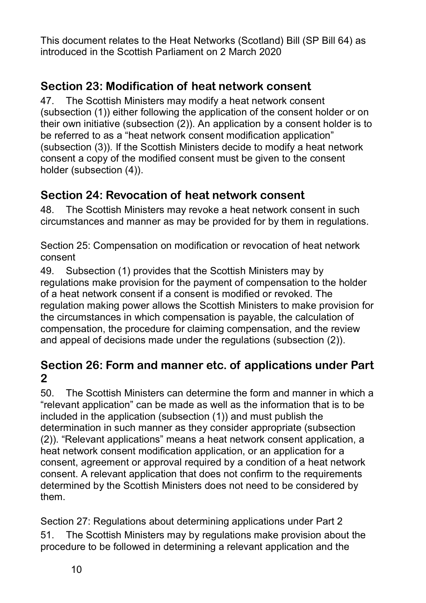### **Section 23: Modification of heat network consent**

47. The Scottish Ministers may modify a heat network consent (subsection (1)) either following the application of the consent holder or on their own initiative (subsection (2)). An application by a consent holder is to be referred to as a "heat network consent modification application" (subsection (3)). If the Scottish Ministers decide to modify a heat network consent a copy of the modified consent must be given to the consent holder (subsection (4)).

### **Section 24: Revocation of heat network consent**

48. The Scottish Ministers may revoke a heat network consent in such circumstances and manner as may be provided for by them in regulations.

Section 25: Compensation on modification or revocation of heat network consent

49. Subsection (1) provides that the Scottish Ministers may by regulations make provision for the payment of compensation to the holder of a heat network consent if a consent is modified or revoked. The regulation making power allows the Scottish Ministers to make provision for the circumstances in which compensation is payable, the calculation of compensation, the procedure for claiming compensation, and the review and appeal of decisions made under the regulations (subsection (2)).

#### **Section 26: Form and manner etc. of applications under Part 2**

50. The Scottish Ministers can determine the form and manner in which a "relevant application" can be made as well as the information that is to be included in the application (subsection (1)) and must publish the determination in such manner as they consider appropriate (subsection (2)). "Relevant applications" means a heat network consent application, a heat network consent modification application, or an application for a consent, agreement or approval required by a condition of a heat network consent. A relevant application that does not confirm to the requirements determined by the Scottish Ministers does not need to be considered by them.

Section 27: Regulations about determining applications under Part 2 51. The Scottish Ministers may by regulations make provision about the procedure to be followed in determining a relevant application and the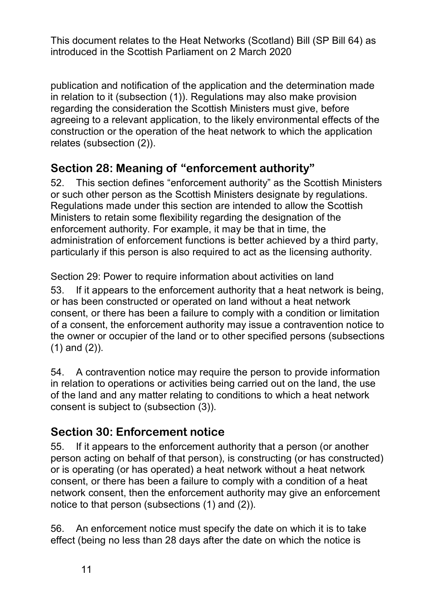publication and notification of the application and the determination made in relation to it (subsection (1)). Regulations may also make provision regarding the consideration the Scottish Ministers must give, before agreeing to a relevant application, to the likely environmental effects of the construction or the operation of the heat network to which the application relates (subsection (2)).

### **Section 28: Meaning of "enforcement authority"**

52. This section defines "enforcement authority" as the Scottish Ministers or such other person as the Scottish Ministers designate by regulations. Regulations made under this section are intended to allow the Scottish Ministers to retain some flexibility regarding the designation of the enforcement authority. For example, it may be that in time, the administration of enforcement functions is better achieved by a third party, particularly if this person is also required to act as the licensing authority.

Section 29: Power to require information about activities on land 53. If it appears to the enforcement authority that a heat network is being, or has been constructed or operated on land without a heat network consent, or there has been a failure to comply with a condition or limitation of a consent, the enforcement authority may issue a contravention notice to the owner or occupier of the land or to other specified persons (subsections (1) and (2)).

54. A contravention notice may require the person to provide information in relation to operations or activities being carried out on the land, the use of the land and any matter relating to conditions to which a heat network consent is subject to (subsection (3)).

### **Section 30: Enforcement notice**

55. If it appears to the enforcement authority that a person (or another person acting on behalf of that person), is constructing (or has constructed) or is operating (or has operated) a heat network without a heat network consent, or there has been a failure to comply with a condition of a heat network consent, then the enforcement authority may give an enforcement notice to that person (subsections (1) and (2)).

56. An enforcement notice must specify the date on which it is to take effect (being no less than 28 days after the date on which the notice is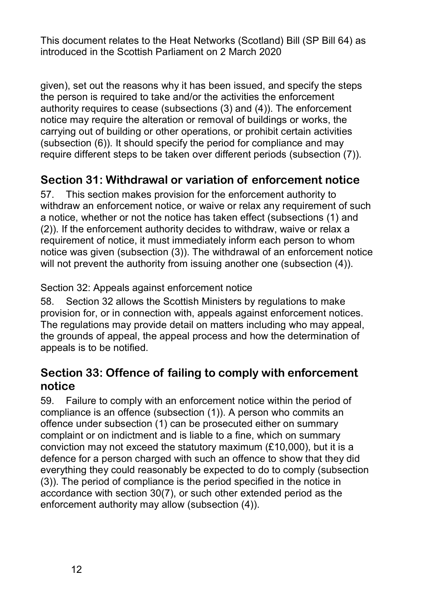given), set out the reasons why it has been issued, and specify the steps the person is required to take and/or the activities the enforcement authority requires to cease (subsections (3) and (4)). The enforcement notice may require the alteration or removal of buildings or works, the carrying out of building or other operations, or prohibit certain activities (subsection (6)). It should specify the period for compliance and may require different steps to be taken over different periods (subsection (7)).

### **Section 31: Withdrawal or variation of enforcement notice**

57. This section makes provision for the enforcement authority to withdraw an enforcement notice, or waive or relax any requirement of such a notice, whether or not the notice has taken effect (subsections (1) and (2)). If the enforcement authority decides to withdraw, waive or relax a requirement of notice, it must immediately inform each person to whom notice was given (subsection (3)). The withdrawal of an enforcement notice will not prevent the authority from issuing another one (subsection (4)).

#### Section 32: Appeals against enforcement notice

58. Section 32 allows the Scottish Ministers by regulations to make provision for, or in connection with, appeals against enforcement notices. The regulations may provide detail on matters including who may appeal, the grounds of appeal, the appeal process and how the determination of appeals is to be notified.

#### **Section 33: Offence of failing to comply with enforcement notice**

59. Failure to comply with an enforcement notice within the period of compliance is an offence (subsection (1)). A person who commits an offence under subsection (1) can be prosecuted either on summary complaint or on indictment and is liable to a fine, which on summary conviction may not exceed the statutory maximum (£10,000), but it is a defence for a person charged with such an offence to show that they did everything they could reasonably be expected to do to comply (subsection (3)). The period of compliance is the period specified in the notice in accordance with section 30(7), or such other extended period as the enforcement authority may allow (subsection (4)).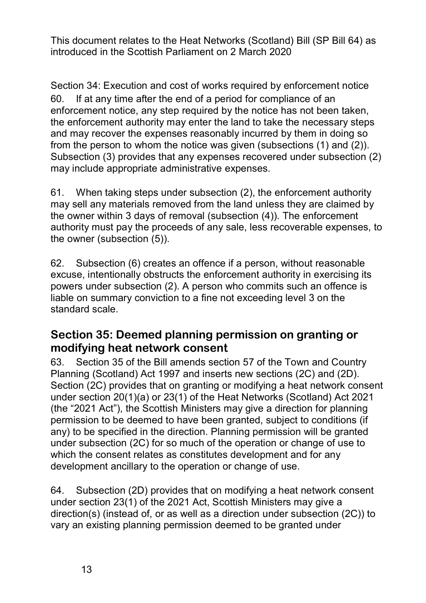Section 34: Execution and cost of works required by enforcement notice 60. If at any time after the end of a period for compliance of an enforcement notice, any step required by the notice has not been taken, the enforcement authority may enter the land to take the necessary steps and may recover the expenses reasonably incurred by them in doing so from the person to whom the notice was given (subsections (1) and (2)). Subsection (3) provides that any expenses recovered under subsection (2) may include appropriate administrative expenses.

61. When taking steps under subsection (2), the enforcement authority may sell any materials removed from the land unless they are claimed by the owner within 3 days of removal (subsection (4)). The enforcement authority must pay the proceeds of any sale, less recoverable expenses, to the owner (subsection (5)).

62. Subsection (6) creates an offence if a person, without reasonable excuse, intentionally obstructs the enforcement authority in exercising its powers under subsection (2). A person who commits such an offence is liable on summary conviction to a fine not exceeding level 3 on the standard scale.

#### **Section 35: Deemed planning permission on granting or modifying heat network consent**

63. Section 35 of the Bill amends section 57 of the Town and Country Planning (Scotland) Act 1997 and inserts new sections (2C) and (2D). Section (2C) provides that on granting or modifying a heat network consent under section 20(1)(a) or 23(1) of the Heat Networks (Scotland) Act 2021 (the "2021 Act"), the Scottish Ministers may give a direction for planning permission to be deemed to have been granted, subject to conditions (if any) to be specified in the direction. Planning permission will be granted under subsection (2C) for so much of the operation or change of use to which the consent relates as constitutes development and for any development ancillary to the operation or change of use.

64. Subsection (2D) provides that on modifying a heat network consent under section 23(1) of the 2021 Act, Scottish Ministers may give a direction(s) (instead of, or as well as a direction under subsection (2C)) to vary an existing planning permission deemed to be granted under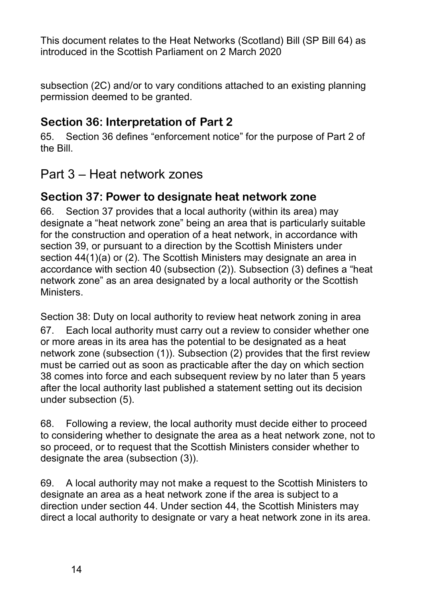subsection (2C) and/or to vary conditions attached to an existing planning permission deemed to be granted.

### **Section 36: Interpretation of Part 2**

65. Section 36 defines "enforcement notice" for the purpose of Part 2 of the Bill.

### Part 3 – Heat network zones

#### **Section 37: Power to designate heat network zone**

66. Section 37 provides that a local authority (within its area) may designate a "heat network zone" being an area that is particularly suitable for the construction and operation of a heat network, in accordance with section 39, or pursuant to a direction by the Scottish Ministers under section 44(1)(a) or (2). The Scottish Ministers may designate an area in accordance with section 40 (subsection (2)). Subsection (3) defines a "heat network zone" as an area designated by a local authority or the Scottish Ministers.

Section 38: Duty on local authority to review heat network zoning in area 67. Each local authority must carry out a review to consider whether one or more areas in its area has the potential to be designated as a heat network zone (subsection (1)). Subsection (2) provides that the first review must be carried out as soon as practicable after the day on which section 38 comes into force and each subsequent review by no later than 5 years after the local authority last published a statement setting out its decision under subsection (5).

68. Following a review, the local authority must decide either to proceed to considering whether to designate the area as a heat network zone, not to so proceed, or to request that the Scottish Ministers consider whether to designate the area (subsection (3)).

69. A local authority may not make a request to the Scottish Ministers to designate an area as a heat network zone if the area is subject to a direction under section 44. Under section 44, the Scottish Ministers may direct a local authority to designate or vary a heat network zone in its area.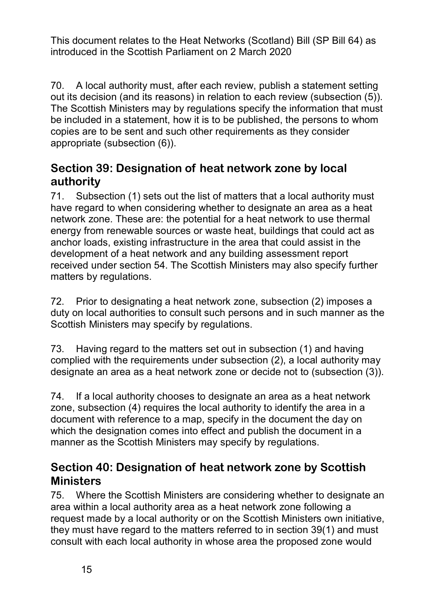70. A local authority must, after each review, publish a statement setting out its decision (and its reasons) in relation to each review (subsection (5)). The Scottish Ministers may by regulations specify the information that must be included in a statement, how it is to be published, the persons to whom copies are to be sent and such other requirements as they consider appropriate (subsection (6)).

#### **Section 39: Designation of heat network zone by local authority**

71. Subsection (1) sets out the list of matters that a local authority must have regard to when considering whether to designate an area as a heat network zone. These are: the potential for a heat network to use thermal energy from renewable sources or waste heat, buildings that could act as anchor loads, existing infrastructure in the area that could assist in the development of a heat network and any building assessment report received under section 54. The Scottish Ministers may also specify further matters by regulations.

72. Prior to designating a heat network zone, subsection (2) imposes a duty on local authorities to consult such persons and in such manner as the Scottish Ministers may specify by regulations.

73. Having regard to the matters set out in subsection (1) and having complied with the requirements under subsection (2), a local authority may designate an area as a heat network zone or decide not to (subsection (3)).

74. If a local authority chooses to designate an area as a heat network zone, subsection (4) requires the local authority to identify the area in a document with reference to a map, specify in the document the day on which the designation comes into effect and publish the document in a manner as the Scottish Ministers may specify by regulations.

#### **Section 40: Designation of heat network zone by Scottish Ministers**

75. Where the Scottish Ministers are considering whether to designate an area within a local authority area as a heat network zone following a request made by a local authority or on the Scottish Ministers own initiative, they must have regard to the matters referred to in section 39(1) and must consult with each local authority in whose area the proposed zone would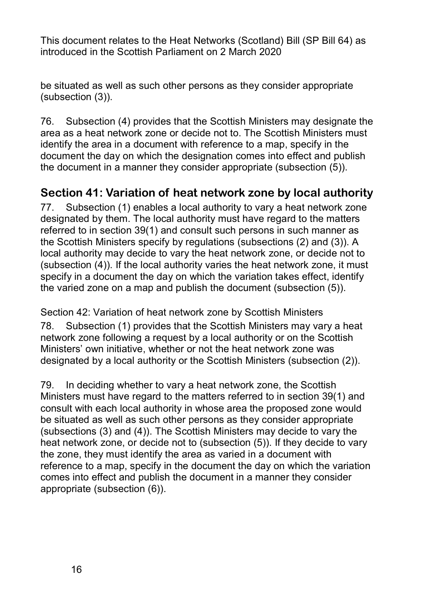be situated as well as such other persons as they consider appropriate (subsection (3)).

76. Subsection (4) provides that the Scottish Ministers may designate the area as a heat network zone or decide not to. The Scottish Ministers must identify the area in a document with reference to a map, specify in the document the day on which the designation comes into effect and publish the document in a manner they consider appropriate (subsection (5)).

### **Section 41: Variation of heat network zone by local authority**

77. Subsection (1) enables a local authority to vary a heat network zone designated by them. The local authority must have regard to the matters referred to in section 39(1) and consult such persons in such manner as the Scottish Ministers specify by regulations (subsections (2) and (3)). A local authority may decide to vary the heat network zone, or decide not to (subsection (4)). If the local authority varies the heat network zone, it must specify in a document the day on which the variation takes effect, identify the varied zone on a map and publish the document (subsection (5)).

Section 42: Variation of heat network zone by Scottish Ministers 78. Subsection (1) provides that the Scottish Ministers may vary a heat network zone following a request by a local authority or on the Scottish Ministers' own initiative, whether or not the heat network zone was designated by a local authority or the Scottish Ministers (subsection (2)).

79. In deciding whether to vary a heat network zone, the Scottish Ministers must have regard to the matters referred to in section 39(1) and consult with each local authority in whose area the proposed zone would be situated as well as such other persons as they consider appropriate (subsections (3) and (4)). The Scottish Ministers may decide to vary the heat network zone, or decide not to (subsection (5)). If they decide to vary the zone, they must identify the area as varied in a document with reference to a map, specify in the document the day on which the variation comes into effect and publish the document in a manner they consider appropriate (subsection (6)).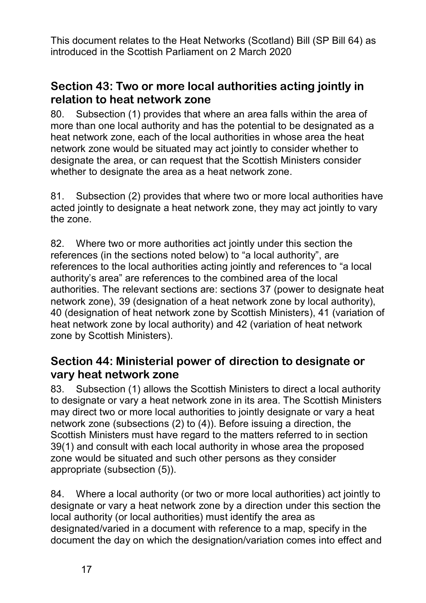#### **Section 43: Two or more local authorities acting jointly in relation to heat network zone**

80. Subsection (1) provides that where an area falls within the area of more than one local authority and has the potential to be designated as a heat network zone, each of the local authorities in whose area the heat network zone would be situated may act jointly to consider whether to designate the area, or can request that the Scottish Ministers consider whether to designate the area as a heat network zone.

81. Subsection (2) provides that where two or more local authorities have acted jointly to designate a heat network zone, they may act jointly to vary the zone.

82. Where two or more authorities act jointly under this section the references (in the sections noted below) to "a local authority", are references to the local authorities acting jointly and references to "a local authority's area" are references to the combined area of the local authorities. The relevant sections are: sections 37 (power to designate heat network zone), 39 (designation of a heat network zone by local authority), 40 (designation of heat network zone by Scottish Ministers), 41 (variation of heat network zone by local authority) and 42 (variation of heat network zone by Scottish Ministers).

#### **Section 44: Ministerial power of direction to designate or vary heat network zone**

83. Subsection (1) allows the Scottish Ministers to direct a local authority to designate or vary a heat network zone in its area. The Scottish Ministers may direct two or more local authorities to jointly designate or vary a heat network zone (subsections (2) to (4)). Before issuing a direction, the Scottish Ministers must have regard to the matters referred to in section 39(1) and consult with each local authority in whose area the proposed zone would be situated and such other persons as they consider appropriate (subsection (5)).

84. Where a local authority (or two or more local authorities) act jointly to designate or vary a heat network zone by a direction under this section the local authority (or local authorities) must identify the area as designated/varied in a document with reference to a map, specify in the document the day on which the designation/variation comes into effect and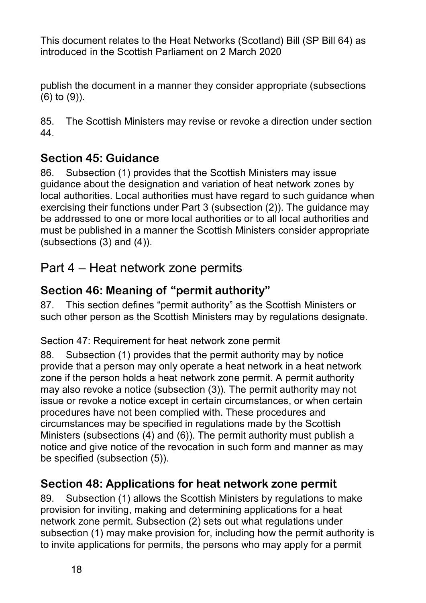publish the document in a manner they consider appropriate (subsections (6) to (9)).

85. The Scottish Ministers may revise or revoke a direction under section 44.

### **Section 45: Guidance**

86. Subsection (1) provides that the Scottish Ministers may issue guidance about the designation and variation of heat network zones by local authorities. Local authorities must have regard to such guidance when exercising their functions under Part 3 (subsection (2)). The guidance may be addressed to one or more local authorities or to all local authorities and must be published in a manner the Scottish Ministers consider appropriate (subsections (3) and (4)).

## Part 4 – Heat network zone permits

### **Section 46: Meaning of "permit authority"**

87. This section defines "permit authority" as the Scottish Ministers or such other person as the Scottish Ministers may by regulations designate.

Section 47: Requirement for heat network zone permit

88. Subsection (1) provides that the permit authority may by notice provide that a person may only operate a heat network in a heat network zone if the person holds a heat network zone permit. A permit authority may also revoke a notice (subsection (3)). The permit authority may not issue or revoke a notice except in certain circumstances, or when certain procedures have not been complied with. These procedures and circumstances may be specified in regulations made by the Scottish Ministers (subsections (4) and (6)). The permit authority must publish a notice and give notice of the revocation in such form and manner as may be specified (subsection (5)).

### **Section 48: Applications for heat network zone permit**

89. Subsection (1) allows the Scottish Ministers by regulations to make provision for inviting, making and determining applications for a heat network zone permit. Subsection (2) sets out what regulations under subsection (1) may make provision for, including how the permit authority is to invite applications for permits, the persons who may apply for a permit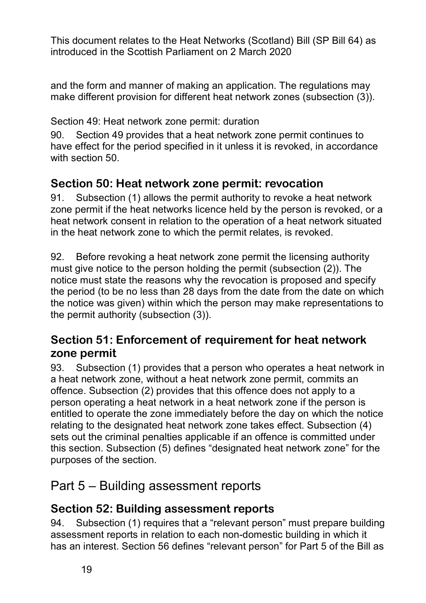and the form and manner of making an application. The regulations may make different provision for different heat network zones (subsection (3)).

Section 49: Heat network zone permit: duration

90. Section 49 provides that a heat network zone permit continues to have effect for the period specified in it unless it is revoked, in accordance with section 50.

#### **Section 50: Heat network zone permit: revocation**

91. Subsection (1) allows the permit authority to revoke a heat network zone permit if the heat networks licence held by the person is revoked, or a heat network consent in relation to the operation of a heat network situated in the heat network zone to which the permit relates, is revoked.

92. Before revoking a heat network zone permit the licensing authority must give notice to the person holding the permit (subsection (2)). The notice must state the reasons why the revocation is proposed and specify the period (to be no less than 28 days from the date from the date on which the notice was given) within which the person may make representations to the permit authority (subsection (3)).

#### **Section 51: Enforcement of requirement for heat network zone permit**

93. Subsection (1) provides that a person who operates a heat network in a heat network zone, without a heat network zone permit, commits an offence. Subsection (2) provides that this offence does not apply to a person operating a heat network in a heat network zone if the person is entitled to operate the zone immediately before the day on which the notice relating to the designated heat network zone takes effect. Subsection (4) sets out the criminal penalties applicable if an offence is committed under this section. Subsection (5) defines "designated heat network zone" for the purposes of the section.

## Part 5 – Building assessment reports

#### **Section 52: Building assessment reports**

94. Subsection (1) requires that a "relevant person" must prepare building assessment reports in relation to each non-domestic building in which it has an interest. Section 56 defines "relevant person" for Part 5 of the Bill as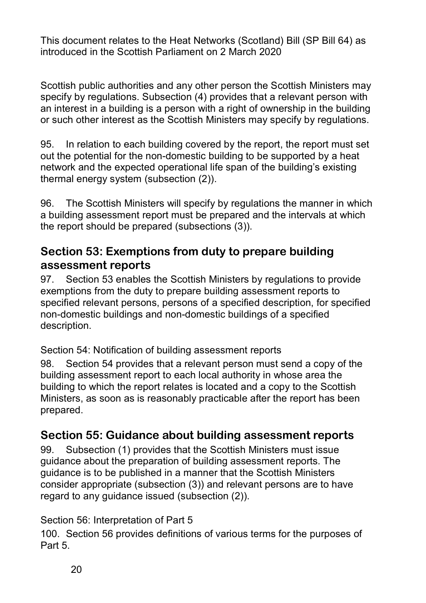Scottish public authorities and any other person the Scottish Ministers may specify by regulations. Subsection (4) provides that a relevant person with an interest in a building is a person with a right of ownership in the building or such other interest as the Scottish Ministers may specify by regulations.

95. In relation to each building covered by the report, the report must set out the potential for the non-domestic building to be supported by a heat network and the expected operational life span of the building's existing thermal energy system (subsection (2)).

96. The Scottish Ministers will specify by regulations the manner in which a building assessment report must be prepared and the intervals at which the report should be prepared (subsections (3)).

#### **Section 53: Exemptions from duty to prepare building assessment reports**

97. Section 53 enables the Scottish Ministers by regulations to provide exemptions from the duty to prepare building assessment reports to specified relevant persons, persons of a specified description, for specified non-domestic buildings and non-domestic buildings of a specified description.

Section 54: Notification of building assessment reports

98. Section 54 provides that a relevant person must send a copy of the building assessment report to each local authority in whose area the building to which the report relates is located and a copy to the Scottish Ministers, as soon as is reasonably practicable after the report has been prepared.

#### **Section 55: Guidance about building assessment reports**

99. Subsection (1) provides that the Scottish Ministers must issue guidance about the preparation of building assessment reports. The guidance is to be published in a manner that the Scottish Ministers consider appropriate (subsection (3)) and relevant persons are to have regard to any guidance issued (subsection (2)).

#### Section 56: Interpretation of Part 5

100. Section 56 provides definitions of various terms for the purposes of Part 5.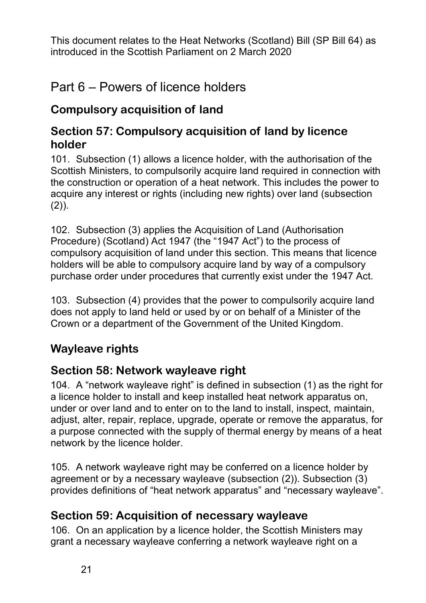## Part 6 – Powers of licence holders

## **Compulsory acquisition of land**

#### **Section 57: Compulsory acquisition of land by licence holder**

101. Subsection (1) allows a licence holder, with the authorisation of the Scottish Ministers, to compulsorily acquire land required in connection with the construction or operation of a heat network. This includes the power to acquire any interest or rights (including new rights) over land (subsection  $(2)$ ).

102. Subsection (3) applies the Acquisition of Land (Authorisation Procedure) (Scotland) Act 1947 (the "1947 Act") to the process of compulsory acquisition of land under this section. This means that licence holders will be able to compulsory acquire land by way of a compulsory purchase order under procedures that currently exist under the 1947 Act.

103. Subsection (4) provides that the power to compulsorily acquire land does not apply to land held or used by or on behalf of a Minister of the Crown or a department of the Government of the United Kingdom.

### **Wayleave rights**

### **Section 58: Network wayleave right**

104. A "network wayleave right" is defined in subsection (1) as the right for a licence holder to install and keep installed heat network apparatus on, under or over land and to enter on to the land to install, inspect, maintain, adjust, alter, repair, replace, upgrade, operate or remove the apparatus, for a purpose connected with the supply of thermal energy by means of a heat network by the licence holder.

105. A network wayleave right may be conferred on a licence holder by agreement or by a necessary wayleave (subsection (2)). Subsection (3) provides definitions of "heat network apparatus" and "necessary wayleave".

### **Section 59: Acquisition of necessary wayleave**

106. On an application by a licence holder, the Scottish Ministers may grant a necessary wayleave conferring a network wayleave right on a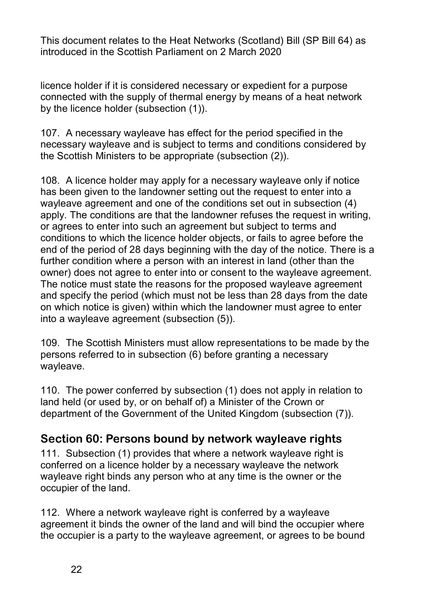licence holder if it is considered necessary or expedient for a purpose connected with the supply of thermal energy by means of a heat network by the licence holder (subsection (1)).

107. A necessary wayleave has effect for the period specified in the necessary wayleave and is subject to terms and conditions considered by the Scottish Ministers to be appropriate (subsection (2)).

108. A licence holder may apply for a necessary wayleave only if notice has been given to the landowner setting out the request to enter into a wayleave agreement and one of the conditions set out in subsection (4) apply. The conditions are that the landowner refuses the request in writing, or agrees to enter into such an agreement but subject to terms and conditions to which the licence holder objects, or fails to agree before the end of the period of 28 days beginning with the day of the notice. There is a further condition where a person with an interest in land (other than the owner) does not agree to enter into or consent to the wayleave agreement. The notice must state the reasons for the proposed wayleave agreement and specify the period (which must not be less than 28 days from the date on which notice is given) within which the landowner must agree to enter into a wayleave agreement (subsection (5)).

109. The Scottish Ministers must allow representations to be made by the persons referred to in subsection (6) before granting a necessary wayleave.

110. The power conferred by subsection (1) does not apply in relation to land held (or used by, or on behalf of) a Minister of the Crown or department of the Government of the United Kingdom (subsection (7)).

#### **Section 60: Persons bound by network wayleave rights**

111. Subsection (1) provides that where a network wayleave right is conferred on a licence holder by a necessary wayleave the network wayleave right binds any person who at any time is the owner or the occupier of the land.

112. Where a network wayleave right is conferred by a wayleave agreement it binds the owner of the land and will bind the occupier where the occupier is a party to the wayleave agreement, or agrees to be bound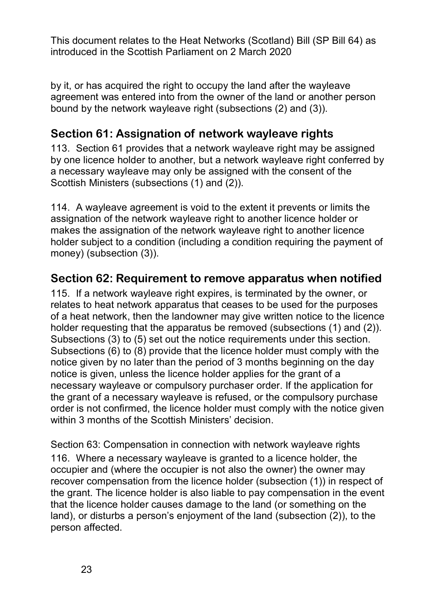by it, or has acquired the right to occupy the land after the wayleave agreement was entered into from the owner of the land or another person bound by the network wayleave right (subsections (2) and (3)).

#### **Section 61: Assignation of network wayleave rights**

113. Section 61 provides that a network wayleave right may be assigned by one licence holder to another, but a network wayleave right conferred by a necessary wayleave may only be assigned with the consent of the Scottish Ministers (subsections (1) and (2)).

114. A wayleave agreement is void to the extent it prevents or limits the assignation of the network wayleave right to another licence holder or makes the assignation of the network wayleave right to another licence holder subject to a condition (including a condition requiring the payment of money) (subsection (3)).

#### **Section 62: Requirement to remove apparatus when notified**

115. If a network wayleave right expires, is terminated by the owner, or relates to heat network apparatus that ceases to be used for the purposes of a heat network, then the landowner may give written notice to the licence holder requesting that the apparatus be removed (subsections (1) and (2)). Subsections (3) to (5) set out the notice requirements under this section. Subsections (6) to (8) provide that the licence holder must comply with the notice given by no later than the period of 3 months beginning on the day notice is given, unless the licence holder applies for the grant of a necessary wayleave or compulsory purchaser order. If the application for the grant of a necessary wayleave is refused, or the compulsory purchase order is not confirmed, the licence holder must comply with the notice given within 3 months of the Scottish Ministers' decision.

Section 63: Compensation in connection with network wayleave rights 116. Where a necessary wayleave is granted to a licence holder, the occupier and (where the occupier is not also the owner) the owner may recover compensation from the licence holder (subsection (1)) in respect of the grant. The licence holder is also liable to pay compensation in the event that the licence holder causes damage to the land (or something on the land), or disturbs a person's enjoyment of the land (subsection (2)), to the person affected.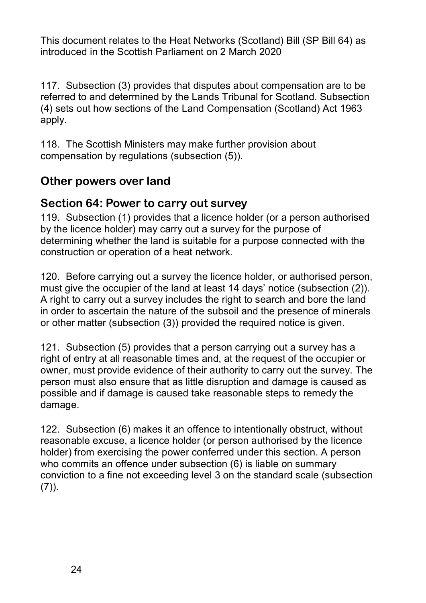117. Subsection (3) provides that disputes about compensation are to be referred to and determined by the Lands Tribunal for Scotland. Subsection (4) sets out how sections of the Land Compensation (Scotland) Act 1963 apply.

118. The Scottish Ministers may make further provision about compensation by regulations (subsection (5)).

#### **Other powers over land**

#### **Section 64: Power to carry out survey**

119. Subsection (1) provides that a licence holder (or a person authorised by the licence holder) may carry out a survey for the purpose of determining whether the land is suitable for a purpose connected with the construction or operation of a heat network.

120. Before carrying out a survey the licence holder, or authorised person, must give the occupier of the land at least 14 days' notice (subsection (2)). A right to carry out a survey includes the right to search and bore the land in order to ascertain the nature of the subsoil and the presence of minerals or other matter (subsection (3)) provided the required notice is given.

121. Subsection (5) provides that a person carrying out a survey has a right of entry at all reasonable times and, at the request of the occupier or owner, must provide evidence of their authority to carry out the survey. The person must also ensure that as little disruption and damage is caused as possible and if damage is caused take reasonable steps to remedy the damage.

122. Subsection (6) makes it an offence to intentionally obstruct, without reasonable excuse, a licence holder (or person authorised by the licence holder) from exercising the power conferred under this section. A person who commits an offence under subsection (6) is liable on summary conviction to a fine not exceeding level 3 on the standard scale (subsection  $(7)$ ).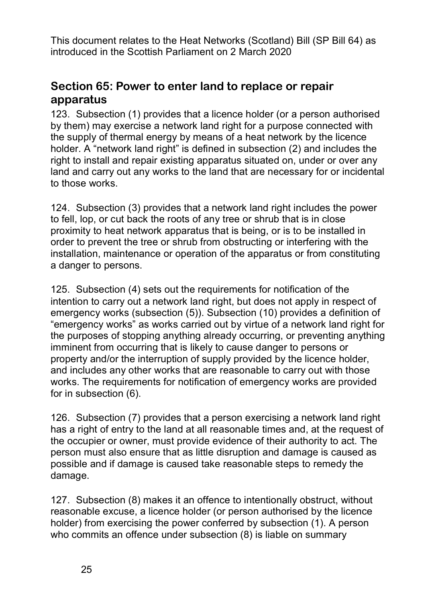#### **Section 65: Power to enter land to replace or repair apparatus**

123. Subsection (1) provides that a licence holder (or a person authorised by them) may exercise a network land right for a purpose connected with the supply of thermal energy by means of a heat network by the licence holder. A "network land right" is defined in subsection (2) and includes the right to install and repair existing apparatus situated on, under or over any land and carry out any works to the land that are necessary for or incidental to those works.

124. Subsection (3) provides that a network land right includes the power to fell, lop, or cut back the roots of any tree or shrub that is in close proximity to heat network apparatus that is being, or is to be installed in order to prevent the tree or shrub from obstructing or interfering with the installation, maintenance or operation of the apparatus or from constituting a danger to persons.

125. Subsection (4) sets out the requirements for notification of the intention to carry out a network land right, but does not apply in respect of emergency works (subsection (5)). Subsection (10) provides a definition of "emergency works" as works carried out by virtue of a network land right for the purposes of stopping anything already occurring, or preventing anything imminent from occurring that is likely to cause danger to persons or property and/or the interruption of supply provided by the licence holder, and includes any other works that are reasonable to carry out with those works. The requirements for notification of emergency works are provided for in subsection (6).

126. Subsection (7) provides that a person exercising a network land right has a right of entry to the land at all reasonable times and, at the request of the occupier or owner, must provide evidence of their authority to act. The person must also ensure that as little disruption and damage is caused as possible and if damage is caused take reasonable steps to remedy the damage.

127. Subsection (8) makes it an offence to intentionally obstruct, without reasonable excuse, a licence holder (or person authorised by the licence holder) from exercising the power conferred by subsection (1). A person who commits an offence under subsection (8) is liable on summary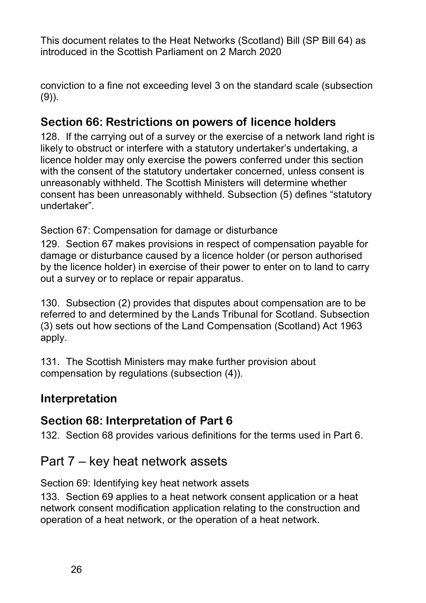conviction to a fine not exceeding level 3 on the standard scale (subsection  $(9)$ ).

### **Section 66: Restrictions on powers of licence holders**

128. If the carrying out of a survey or the exercise of a network land right is likely to obstruct or interfere with a statutory undertaker's undertaking, a licence holder may only exercise the powers conferred under this section with the consent of the statutory undertaker concerned, unless consent is unreasonably withheld. The Scottish Ministers will determine whether consent has been unreasonably withheld. Subsection (5) defines "statutory undertaker".

Section 67: Compensation for damage or disturbance

129. Section 67 makes provisions in respect of compensation payable for damage or disturbance caused by a licence holder (or person authorised by the licence holder) in exercise of their power to enter on to land to carry out a survey or to replace or repair apparatus.

130. Subsection (2) provides that disputes about compensation are to be referred to and determined by the Lands Tribunal for Scotland. Subsection (3) sets out how sections of the Land Compensation (Scotland) Act 1963 apply.

131. The Scottish Ministers may make further provision about compensation by regulations (subsection (4)).

### **Interpretation**

#### **Section 68: Interpretation of Part 6**

132. Section 68 provides various definitions for the terms used in Part 6.

## Part 7 – key heat network assets

Section 69: Identifying key heat network assets

133. Section 69 applies to a heat network consent application or a heat network consent modification application relating to the construction and operation of a heat network, or the operation of a heat network.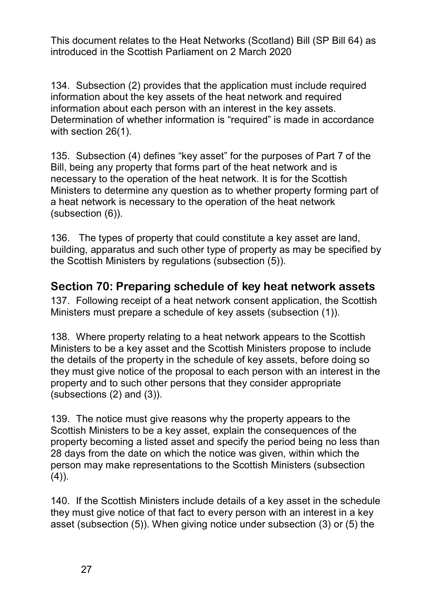134. Subsection (2) provides that the application must include required information about the key assets of the heat network and required information about each person with an interest in the key assets. Determination of whether information is "required" is made in accordance with section 26(1).

135. Subsection (4) defines "key asset" for the purposes of Part 7 of the Bill, being any property that forms part of the heat network and is necessary to the operation of the heat network. It is for the Scottish Ministers to determine any question as to whether property forming part of a heat network is necessary to the operation of the heat network (subsection (6)).

136. The types of property that could constitute a key asset are land, building, apparatus and such other type of property as may be specified by the Scottish Ministers by regulations (subsection (5)).

#### **Section 70: Preparing schedule of key heat network assets**

137. Following receipt of a heat network consent application, the Scottish Ministers must prepare a schedule of key assets (subsection (1)).

138. Where property relating to a heat network appears to the Scottish Ministers to be a key asset and the Scottish Ministers propose to include the details of the property in the schedule of key assets, before doing so they must give notice of the proposal to each person with an interest in the property and to such other persons that they consider appropriate (subsections (2) and (3)).

139. The notice must give reasons why the property appears to the Scottish Ministers to be a key asset, explain the consequences of the property becoming a listed asset and specify the period being no less than 28 days from the date on which the notice was given, within which the person may make representations to the Scottish Ministers (subsection  $(4)$ ).

140. If the Scottish Ministers include details of a key asset in the schedule they must give notice of that fact to every person with an interest in a key asset (subsection (5)). When giving notice under subsection (3) or (5) the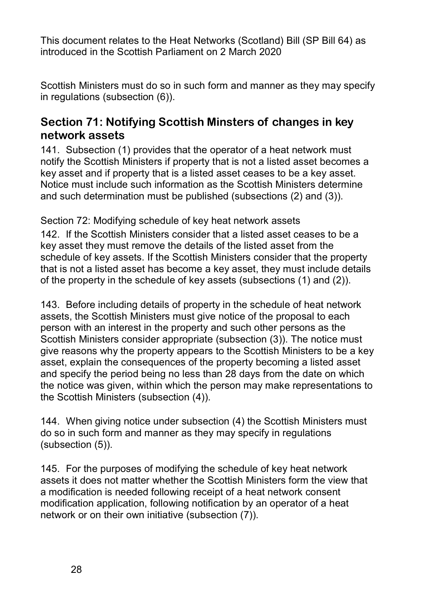Scottish Ministers must do so in such form and manner as they may specify in regulations (subsection (6)).

#### **Section 71: Notifying Scottish Minsters of changes in key network assets**

141. Subsection (1) provides that the operator of a heat network must notify the Scottish Ministers if property that is not a listed asset becomes a key asset and if property that is a listed asset ceases to be a key asset. Notice must include such information as the Scottish Ministers determine and such determination must be published (subsections (2) and (3)).

Section 72: Modifying schedule of key heat network assets

142. If the Scottish Ministers consider that a listed asset ceases to be a key asset they must remove the details of the listed asset from the schedule of key assets. If the Scottish Ministers consider that the property that is not a listed asset has become a key asset, they must include details of the property in the schedule of key assets (subsections (1) and (2)).

143. Before including details of property in the schedule of heat network assets, the Scottish Ministers must give notice of the proposal to each person with an interest in the property and such other persons as the Scottish Ministers consider appropriate (subsection (3)). The notice must give reasons why the property appears to the Scottish Ministers to be a key asset, explain the consequences of the property becoming a listed asset and specify the period being no less than 28 days from the date on which the notice was given, within which the person may make representations to the Scottish Ministers (subsection (4)).

144. When giving notice under subsection (4) the Scottish Ministers must do so in such form and manner as they may specify in regulations (subsection (5)).

145. For the purposes of modifying the schedule of key heat network assets it does not matter whether the Scottish Ministers form the view that a modification is needed following receipt of a heat network consent modification application, following notification by an operator of a heat network or on their own initiative (subsection (7)).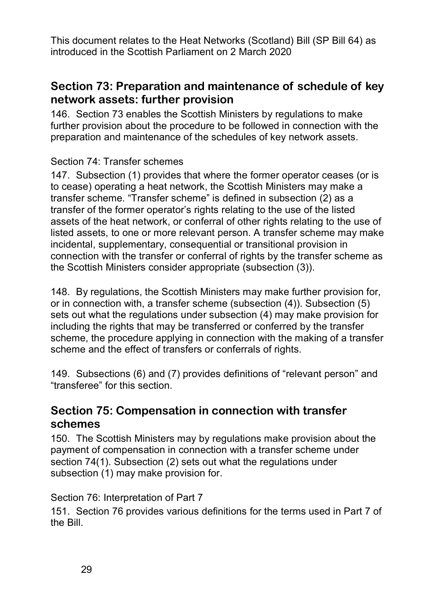#### **Section 73: Preparation and maintenance of schedule of key network assets: further provision**

146. Section 73 enables the Scottish Ministers by regulations to make further provision about the procedure to be followed in connection with the preparation and maintenance of the schedules of key network assets.

#### Section 74: Transfer schemes

147. Subsection (1) provides that where the former operator ceases (or is to cease) operating a heat network, the Scottish Ministers may make a transfer scheme. "Transfer scheme" is defined in subsection (2) as a transfer of the former operator's rights relating to the use of the listed assets of the heat network, or conferral of other rights relating to the use of listed assets, to one or more relevant person. A transfer scheme may make incidental, supplementary, consequential or transitional provision in connection with the transfer or conferral of rights by the transfer scheme as the Scottish Ministers consider appropriate (subsection (3)).

148. By regulations, the Scottish Ministers may make further provision for, or in connection with, a transfer scheme (subsection (4)). Subsection (5) sets out what the regulations under subsection (4) may make provision for including the rights that may be transferred or conferred by the transfer scheme, the procedure applying in connection with the making of a transfer scheme and the effect of transfers or conferrals of rights.

149. Subsections (6) and (7) provides definitions of "relevant person" and "transferee" for this section.

#### **Section 75: Compensation in connection with transfer schemes**

150. The Scottish Ministers may by regulations make provision about the payment of compensation in connection with a transfer scheme under section 74(1). Subsection (2) sets out what the regulations under subsection (1) may make provision for.

#### Section 76: Interpretation of Part 7

151. Section 76 provides various definitions for the terms used in Part 7 of the Bill.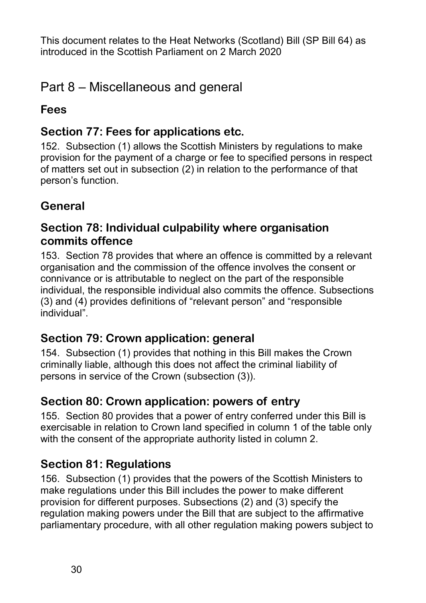## Part 8 – Miscellaneous and general

#### **Fees**

#### **Section 77: Fees for applications etc.**

152. Subsection (1) allows the Scottish Ministers by regulations to make provision for the payment of a charge or fee to specified persons in respect of matters set out in subsection (2) in relation to the performance of that person's function.

## **General**

#### **Section 78: Individual culpability where organisation commits offence**

153. Section 78 provides that where an offence is committed by a relevant organisation and the commission of the offence involves the consent or connivance or is attributable to neglect on the part of the responsible individual, the responsible individual also commits the offence. Subsections (3) and (4) provides definitions of "relevant person" and "responsible individual".

#### **Section 79: Crown application: general**

154. Subsection (1) provides that nothing in this Bill makes the Crown criminally liable, although this does not affect the criminal liability of persons in service of the Crown (subsection (3)).

### **Section 80: Crown application: powers of entry**

155. Section 80 provides that a power of entry conferred under this Bill is exercisable in relation to Crown land specified in column 1 of the table only with the consent of the appropriate authority listed in column 2.

## **Section 81: Regulations**

156. Subsection (1) provides that the powers of the Scottish Ministers to make regulations under this Bill includes the power to make different provision for different purposes. Subsections (2) and (3) specify the regulation making powers under the Bill that are subject to the affirmative parliamentary procedure, with all other regulation making powers subject to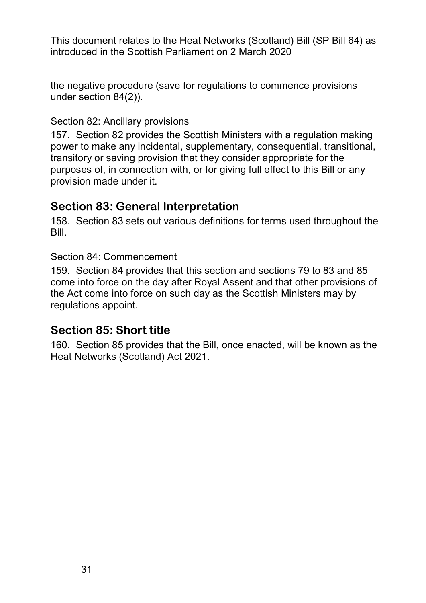the negative procedure (save for regulations to commence provisions under section 84(2)).

#### Section 82: Ancillary provisions

157. Section 82 provides the Scottish Ministers with a regulation making power to make any incidental, supplementary, consequential, transitional, transitory or saving provision that they consider appropriate for the purposes of, in connection with, or for giving full effect to this Bill or any provision made under it.

#### **Section 83: General Interpretation**

158. Section 83 sets out various definitions for terms used throughout the Bill.

#### Section 84: Commencement

159. Section 84 provides that this section and sections 79 to 83 and 85 come into force on the day after Royal Assent and that other provisions of the Act come into force on such day as the Scottish Ministers may by regulations appoint.

#### **Section 85: Short title**

160. Section 85 provides that the Bill, once enacted, will be known as the Heat Networks (Scotland) Act 2021.